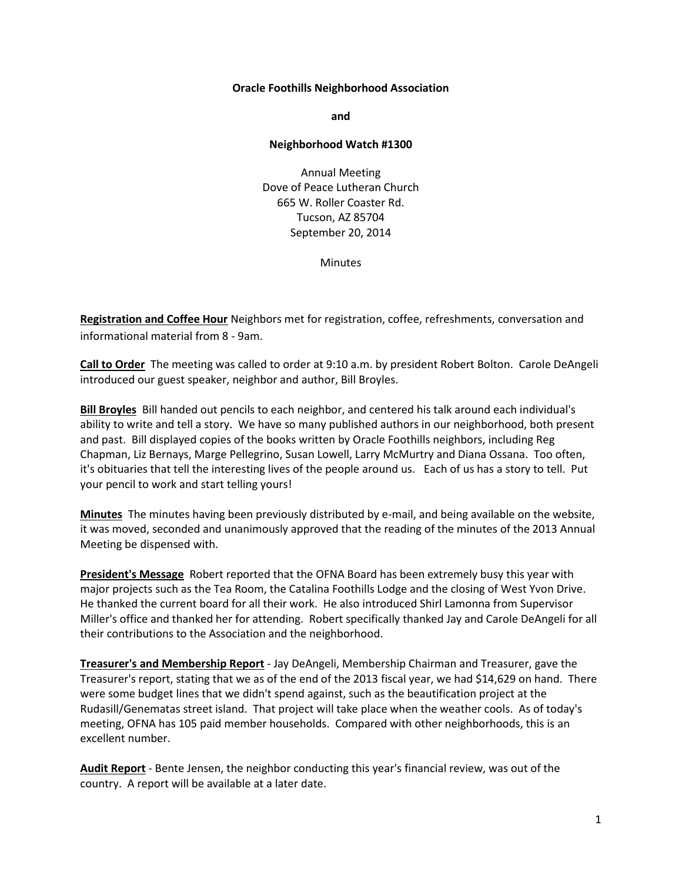## **Oracle Foothills Neighborhood Association**

**and**

## **Neighborhood Watch #1300**

Annual Meeting Dove of Peace Lutheran Church 665 W. Roller Coaster Rd. Tucson, AZ 85704 September 20, 2014

**Minutes** 

**Registration and Coffee Hour** Neighbors met for registration, coffee, refreshments, conversation and informational material from 8 - 9am.

**Call to Order** The meeting was called to order at 9:10 a.m. by president Robert Bolton. Carole DeAngeli introduced our guest speaker, neighbor and author, Bill Broyles.

**Bill Broyles** Bill handed out pencils to each neighbor, and centered his talk around each individual's ability to write and tell a story. We have so many published authors in our neighborhood, both present and past. Bill displayed copies of the books written by Oracle Foothills neighbors, including Reg Chapman, Liz Bernays, Marge Pellegrino, Susan Lowell, Larry McMurtry and Diana Ossana. Too often, it's obituaries that tell the interesting lives of the people around us. Each of us has a story to tell. Put your pencil to work and start telling yours!

**Minutes** The minutes having been previously distributed by e-mail, and being available on the website, it was moved, seconded and unanimously approved that the reading of the minutes of the 2013 Annual Meeting be dispensed with.

**President's Message** Robert reported that the OFNA Board has been extremely busy this year with major projects such as the Tea Room, the Catalina Foothills Lodge and the closing of West Yvon Drive. He thanked the current board for all their work. He also introduced Shirl Lamonna from Supervisor Miller's office and thanked her for attending. Robert specifically thanked Jay and Carole DeAngeli for all their contributions to the Association and the neighborhood.

**Treasurer's and Membership Report** - Jay DeAngeli, Membership Chairman and Treasurer, gave the Treasurer's report, stating that we as of the end of the 2013 fiscal year, we had \$14,629 on hand. There were some budget lines that we didn't spend against, such as the beautification project at the Rudasill/Genematas street island. That project will take place when the weather cools. As of today's meeting, OFNA has 105 paid member households. Compared with other neighborhoods, this is an excellent number.

**Audit Report** - Bente Jensen, the neighbor conducting this year's financial review, was out of the country. A report will be available at a later date.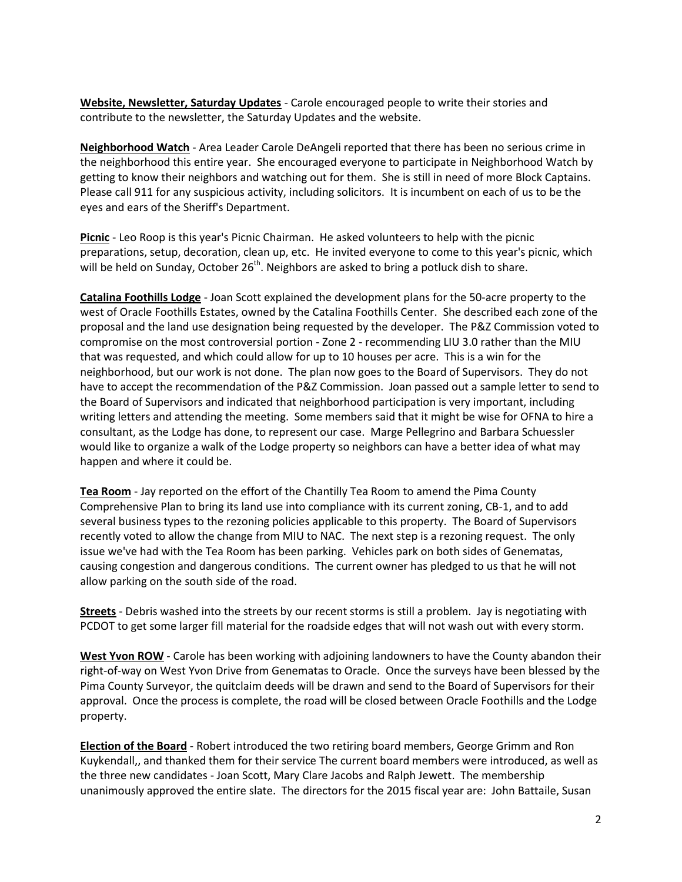**Website, Newsletter, Saturday Updates** - Carole encouraged people to write their stories and contribute to the newsletter, the Saturday Updates and the website.

**Neighborhood Watch** - Area Leader Carole DeAngeli reported that there has been no serious crime in the neighborhood this entire year. She encouraged everyone to participate in Neighborhood Watch by getting to know their neighbors and watching out for them. She is still in need of more Block Captains. Please call 911 for any suspicious activity, including solicitors. It is incumbent on each of us to be the eyes and ears of the Sheriff's Department.

**Picnic** - Leo Roop is this year's Picnic Chairman. He asked volunteers to help with the picnic preparations, setup, decoration, clean up, etc. He invited everyone to come to this year's picnic, which will be held on Sunday, October 26<sup>th</sup>. Neighbors are asked to bring a potluck dish to share.

**Catalina Foothills Lodge** - Joan Scott explained the development plans for the 50-acre property to the west of Oracle Foothills Estates, owned by the Catalina Foothills Center. She described each zone of the proposal and the land use designation being requested by the developer. The P&Z Commission voted to compromise on the most controversial portion - Zone 2 - recommending LIU 3.0 rather than the MIU that was requested, and which could allow for up to 10 houses per acre. This is a win for the neighborhood, but our work is not done. The plan now goes to the Board of Supervisors. They do not have to accept the recommendation of the P&Z Commission. Joan passed out a sample letter to send to the Board of Supervisors and indicated that neighborhood participation is very important, including writing letters and attending the meeting. Some members said that it might be wise for OFNA to hire a consultant, as the Lodge has done, to represent our case. Marge Pellegrino and Barbara Schuessler would like to organize a walk of the Lodge property so neighbors can have a better idea of what may happen and where it could be.

**Tea Room** - Jay reported on the effort of the Chantilly Tea Room to amend the Pima County Comprehensive Plan to bring its land use into compliance with its current zoning, CB-1, and to add several business types to the rezoning policies applicable to this property. The Board of Supervisors recently voted to allow the change from MIU to NAC. The next step is a rezoning request. The only issue we've had with the Tea Room has been parking. Vehicles park on both sides of Genematas, causing congestion and dangerous conditions. The current owner has pledged to us that he will not allow parking on the south side of the road.

**Streets** - Debris washed into the streets by our recent storms is still a problem. Jay is negotiating with PCDOT to get some larger fill material for the roadside edges that will not wash out with every storm.

**West Yvon ROW** - Carole has been working with adjoining landowners to have the County abandon their right-of-way on West Yvon Drive from Genematas to Oracle. Once the surveys have been blessed by the Pima County Surveyor, the quitclaim deeds will be drawn and send to the Board of Supervisors for their approval. Once the process is complete, the road will be closed between Oracle Foothills and the Lodge property.

**Election of the Board** - Robert introduced the two retiring board members, George Grimm and Ron Kuykendall,, and thanked them for their service The current board members were introduced, as well as the three new candidates - Joan Scott, Mary Clare Jacobs and Ralph Jewett. The membership unanimously approved the entire slate. The directors for the 2015 fiscal year are: John Battaile, Susan